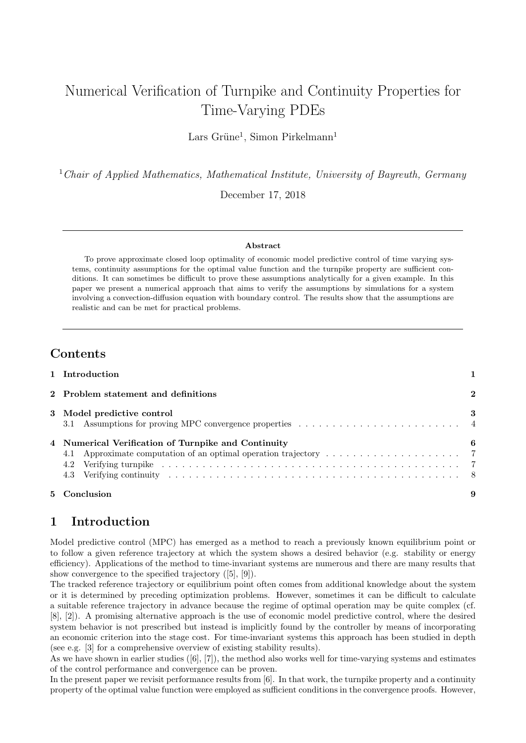# Numerical Verification of Turnpike and Continuity Properties for Time-Varying PDEs

Lars Grüne<sup>1</sup>, Simon Pirkelmann<sup>1</sup>

 $1$  Chair of Applied Mathematics, Mathematical Institute, University of Bayreuth, Germany

December 17, 2018

#### Abstract

To prove approximate closed loop optimality of economic model predictive control of time varying systems, continuity assumptions for the optimal value function and the turnpike property are sufficient conditions. It can sometimes be difficult to prove these assumptions analytically for a given example. In this paper we present a numerical approach that aims to verify the assumptions by simulations for a system involving a convection-diffusion equation with boundary control. The results show that the assumptions are realistic and can be met for practical problems.

### **Contents**

| 5 Conclusion                                        |   |
|-----------------------------------------------------|---|
| 4 Numerical Verification of Turnpike and Continuity | 6 |
| 3 Model predictive control                          | 3 |
| 2 Problem statement and definitions                 | 2 |
| 1 Introduction                                      |   |

# <span id="page-0-0"></span>1 Introduction

Model predictive control (MPC) has emerged as a method to reach a previously known equilibrium point or to follow a given reference trajectory at which the system shows a desired behavior (e.g. stability or energy efficiency). Applications of the method to time-invariant systems are numerous and there are many results that show convergence to the specified trajectory([\[5\]](#page-9-0), [\[9\]](#page-9-1)).

The tracked reference trajectory or equilibrium point often comes from additional knowledge about the system or it is determined by preceding optimization problems. However, sometimes it can be difficult to calculate a suitable reference trajectory in advance because the regime of optimal operation may be quite complex (cf. [\[8\]](#page-9-2), [\[2\]](#page-8-1)). A promising alternative approach is the use of economic model predictive control, where the desired system behavior is not prescribed but instead is implicitly found by the controller by means of incorporating an economic criterion into the stage cost. For time-invariant systems this approach has been studied in depth (see e.g. [\[3\]](#page-8-2) for a comprehensive overview of existing stability results).

Aswe have shown in earlier studies  $([6], [7])$  $([6], [7])$  $([6], [7])$  $([6], [7])$  $([6], [7])$ , the method also works well for time-varying systems and estimates of the control performance and convergence can be proven.

In the present paper we revisit performance results from [\[6\]](#page-9-3). In that work, the turnpike property and a continuity property of the optimal value function were employed as sufficient conditions in the convergence proofs. However,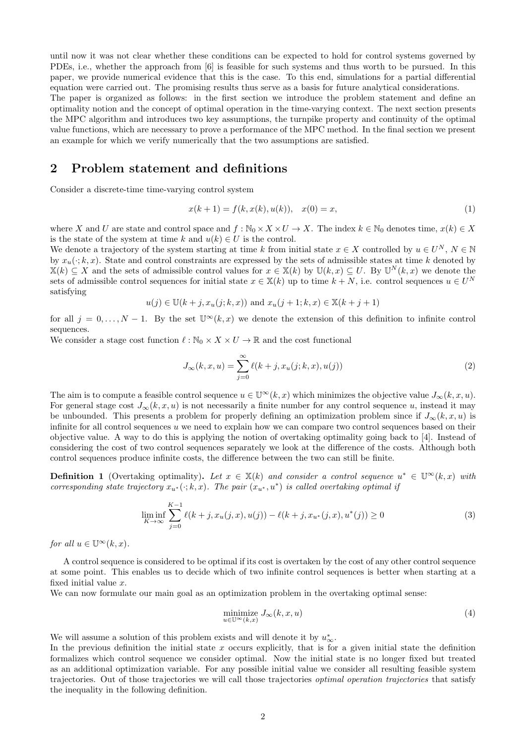until now it was not clear whether these conditions can be expected to hold for control systems governed by PDEs, i.e., whether the approach from [\[6\]](#page-9-3) is feasible for such systems and thus worth to be pursued. In this paper, we provide numerical evidence that this is the case. To this end, simulations for a partial differential equation were carried out. The promising results thus serve as a basis for future analytical considerations.

The paper is organized as follows: in the first section we introduce the problem statement and define an optimality notion and the concept of optimal operation in the time-varying context. The next section presents the MPC algorithm and introduces two key assumptions, the turnpike property and continuity of the optimal value functions, which are necessary to prove a performance of the MPC method. In the final section we present an example for which we verify numerically that the two assumptions are satisfied.

## <span id="page-1-0"></span>2 Problem statement and definitions

Consider a discrete-time time-varying control system

<span id="page-1-1"></span>
$$
x(k+1) = f(k, x(k), u(k)), \quad x(0) = x,\tag{1}
$$

where X and U are state and control space and  $f : \mathbb{N}_0 \times X \times U \to X$ . The index  $k \in \mathbb{N}_0$  denotes time,  $x(k) \in X$ is the state of the system at time k and  $u(k) \in U$  is the control.

We denote a trajectory of the system starting at time k from initial state  $x \in X$  controlled by  $u \in U^N$ ,  $N \in \mathbb{N}$ by  $x_u(\cdot; k, x)$ . State and control constraints are expressed by the sets of admissible states at time k denoted by  $\mathbb{X}(k) \subseteq X$  and the sets of admissible control values for  $x \in \mathbb{X}(k)$  by  $\mathbb{U}(k,x) \subseteq U$ . By  $\mathbb{U}^N(k,x)$  we denote the sets of admissible control sequences for initial state  $x \in X(k)$  up to time  $k + N$ , i.e. control sequences  $u \in U^N$ satisfying

$$
u(j) \in \mathbb{U}(k+j, x_u(j;k,x))
$$
 and  $x_u(j+1;k,x) \in \mathbb{X}(k+j+1)$ 

for all  $j = 0, \ldots, N-1$ . By the set  $\mathbb{U}^{\infty}(k, x)$  we denote the extension of this definition to infinite control sequences.

We consider a stage cost function  $\ell : \mathbb{N}_0 \times X \times U \to \mathbb{R}$  and the cost functional

$$
J_{\infty}(k, x, u) = \sum_{j=0}^{\infty} \ell(k + j, x_u(j; k, x), u(j))
$$
 (2)

The aim is to compute a feasible control sequence  $u \in \mathbb{U}^\infty(k, x)$  which minimizes the objective value  $J_\infty(k, x, u)$ . For general stage cost  $J_{\infty}(k, x, u)$  is not necessarily a finite number for any control sequence u, instead it may be unbounded. This presents a problem for properly defining an optimization problem since if  $J_{\infty}(k, x, u)$  is infinite for all control sequences  $u$  we need to explain how we can compare two control sequences based on their objective value. A way to do this is applying the notion of overtaking optimality going back to [\[4\]](#page-8-3). Instead of considering the cost of two control sequences separately we look at the difference of the costs. Although both control sequences produce infinite costs, the difference between the two can still be finite.

**Definition 1** (Overtaking optimality). Let  $x \in \mathbb{X}(k)$  and consider a control sequence  $u^* \in \mathbb{U}^\infty(k,x)$  with corresponding state trajectory  $x_{u^*}(\cdot; k, x)$ . The pair  $(x_{u^*}, u^*)$  is called overtaking optimal if

$$
\liminf_{K \to \infty} \sum_{j=0}^{K-1} \ell(k+j, x_u(j, x), u(j)) - \ell(k+j, x_{u^*}(j, x), u^*(j)) \ge 0
$$
\n(3)

for all  $u \in \mathbb{U}^{\infty}(k, x)$ .

A control sequence is considered to be optimal if its cost is overtaken by the cost of any other control sequence at some point. This enables us to decide which of two infinite control sequences is better when starting at a fixed initial value x.

We can now formulate our main goal as an optimization problem in the overtaking optimal sense:

<span id="page-1-3"></span>
$$
\underset{u \in \mathbb{U}^{\infty}(k,x)}{\text{minimize}} J_{\infty}(k,x,u) \tag{4}
$$

We will assume a solution of this problem exists and will denote it by  $u_{\infty}^*$ .

<span id="page-1-2"></span>In the previous definition the initial state x occurs explicitly, that is for a given initial state the definition formalizes which control sequence we consider optimal. Now the initial state is no longer fixed but treated as an additional optimization variable. For any possible initial value we consider all resulting feasible system trajectories. Out of those trajectories we will call those trajectories optimal operation trajectories that satisfy the inequality in the following definition.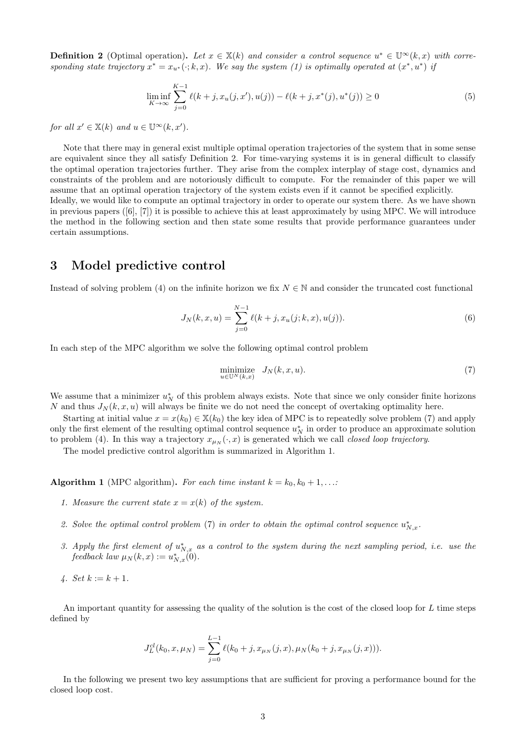**Definition 2** (Optimal operation). Let  $x \in \mathbb{X}(k)$  and consider a control sequence  $u^* \in \mathbb{U}^\infty(k, x)$  with corresponding state trajectory  $x^* = x_{u^*}(\cdot; k, x)$ . We say the system [\(1\)](#page-1-1) is optimally operated at  $(x^*, u^*)$  ij

$$
\liminf_{K \to \infty} \sum_{j=0}^{K-1} \ell(k+j, x_u(j, x'), u(j)) - \ell(k+j, x^*(j), u^*(j)) \ge 0
$$
\n(5)

for all  $x' \in \mathbb{X}(k)$  and  $u \in \mathbb{U}^\infty(k, x')$ .

Note that there may in general exist multiple optimal operation trajectories of the system that in some sense are equivalent since they all satisfy Definition [2.](#page-1-2) For time-varying systems it is in general difficult to classify the optimal operation trajectories further. They arise from the complex interplay of stage cost, dynamics and constraints of the problem and are notoriously difficult to compute. For the remainder of this paper we will assume that an optimal operation trajectory of the system exists even if it cannot be specified explicitly. Ideally, we would like to compute an optimal trajectory in order to operate our system there. As we have shown

inprevious papers  $([6], [7])$  $([6], [7])$  $([6], [7])$  $([6], [7])$  $([6], [7])$  it is possible to achieve this at least approximately by using MPC. We will introduce the method in the following section and then state some results that provide performance guarantees under certain assumptions.

# <span id="page-2-0"></span>3 Model predictive control

Instead of solving problem [\(4\)](#page-1-3) on the infinite horizon we fix  $N \in \mathbb{N}$  and consider the truncated cost functional

$$
J_N(k, x, u) = \sum_{j=0}^{N-1} \ell(k + j, x_u(j; k, x), u(j)).
$$
\n(6)

In each step of the MPC algorithm we solve the following optimal control problem

<span id="page-2-1"></span>
$$
\underset{u \in \mathbb{U}^N(k,x)}{\text{minimize}} \quad J_N(k,x,u). \tag{7}
$$

We assume that a minimizer  $u_N^*$  of this problem always exists. Note that since we only consider finite horizons N and thus  $J_N(k, x, u)$  will always be finite we do not need the concept of overtaking optimality here.

Starting at initial value  $x = x(k_0) \in X(k_0)$  the key idea of MPC is to repeatedly solve problem [\(7\)](#page-2-1) and apply only the first element of the resulting optimal control sequence  $u_N^*$  in order to produce an approximate solution to problem [\(4\)](#page-1-3). In this way a trajectory  $x_{\mu_N}(\cdot, x)$  is generated which we call *closed loop trajectory*.

The model predictive control algorithm is summarized in Algorithm [1.](#page-2-2)

**Algorithm 1** (MPC algorithm). For each time instant  $k = k_0, k_0 + 1, \ldots$ 

- 1. Measure the current state  $x = x(k)$  of the system.
- 2. Solve the optimal control problem [\(7\)](#page-2-1) in order to obtain the optimal control sequence  $u_{N,x}^*$ .
- 3. Apply the first element of  $u_{N,x}^*$  as a control to the system during the next sampling period, i.e. use the feedback law  $\mu_N(k, x) := u^*_{N, x}(0)$ .
- <span id="page-2-2"></span>4. Set  $k := k + 1$ .

An important quantity for assessing the quality of the solution is the cost of the closed loop for L time steps defined by

$$
J_L^{cl}(k_0, x, \mu_N) = \sum_{j=0}^{L-1} \ell(k_0 + j, x_{\mu_N}(j, x), \mu_N(k_0 + j, x_{\mu_N}(j, x))).
$$

In the following we present two key assumptions that are sufficient for proving a performance bound for the closed loop cost.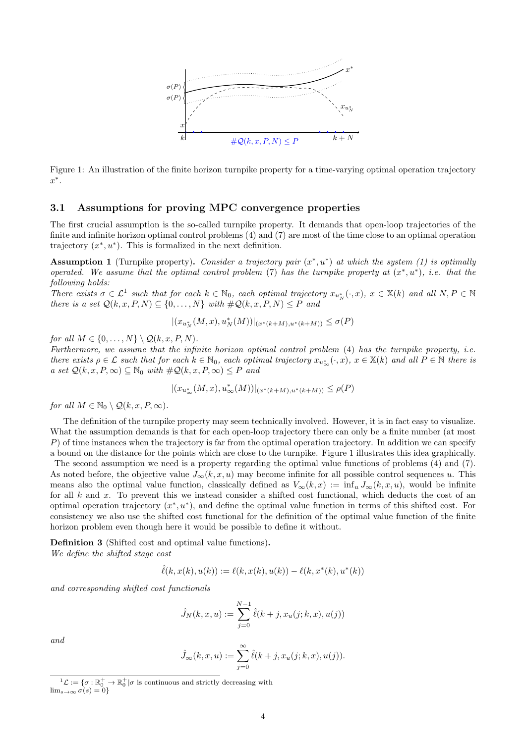<span id="page-3-2"></span>

Figure 1: An illustration of the finite horizon turnpike property for a time-varying optimal operation trajectory  $x^*$ .

#### <span id="page-3-0"></span>3.1 Assumptions for proving MPC convergence properties

The first crucial assumption is the so-called turnpike property. It demands that open-loop trajectories of the finite and infinite horizon optimal control problems [\(4\)](#page-1-3) and [\(7\)](#page-2-1) are most of the time close to an optimal operation trajectory  $(x^*, u^*)$ . This is formalized in the next definition.

<span id="page-3-3"></span>**Assumption 1** (Turnpike property). Consider a trajectory pair  $(x^*, u^*)$  at which the system [\(1\)](#page-1-1) is optimally operated. We assume that the optimal control problem [\(7\)](#page-2-1) has the turnpike property at  $(x^*, u^*)$ , i.e. that the following holds:

There exists  $\sigma \in \mathcal{L}^1$  $\sigma \in \mathcal{L}^1$  such that for each  $k \in \mathbb{N}_0$ , each optimal trajectory  $x_{u_N^*}(\cdot, x)$ ,  $x \in \mathbb{X}(k)$  and all  $N, P \in \mathbb{N}$ there is a set  $\mathcal{Q}(k, x, P, N) \subseteq \{0, ..., N\}$  with  $\#\mathcal{Q}(k, x, P, N) \leq P$  and

$$
|(x_{u_N^*}(M, x), u_N^*(M))|_{(x^*(k+M), u^*(k+M))} \le \sigma(P)
$$

for all  $M \in \{0, \ldots, N\} \setminus \mathcal{Q}(k, x, P, N)$ .

Furthermore, we assume that the infinite horizon optimal control problem [\(4\)](#page-1-3) has the turnpike property, i.e. there exists  $\rho \in \mathcal{L}$  such that for each  $k \in \mathbb{N}_0$ , each optimal trajectory  $x_{u^*_{\infty}}(\cdot, x)$ ,  $x \in \mathbb{X}(k)$  and all  $P \in \mathbb{N}$  there is a set  $\mathcal{Q}(k, x, P, \infty) \subseteq \mathbb{N}_0$  with  $\#\mathcal{Q}(k, x, P, \infty) \leq P$  and

$$
|(x_{u_{\infty}^*}(M, x), u_{\infty}^*(M))|_{(x^*(k+M), u^*(k+M))} \le \rho(P)
$$

for all  $M \in \mathbb{N}_0 \setminus \mathcal{Q}(k, x, P, \infty)$ .

The definition of the turnpike property may seem technically involved. However, it is in fact easy to visualize. What the assumption demands is that for each open-loop trajectory there can only be a finite number (at most  $P$ ) of time instances when the trajectory is far from the optimal operation trajectory. In addition we can specify a bound on the distance for the points which are close to the turnpike. Figure [1](#page-3-2) illustrates this idea graphically.

The second assumption we need is a property regarding the optimal value functions of problems [\(4\)](#page-1-3) and [\(7\)](#page-2-1). As noted before, the objective value  $J_{\infty}(k, x, u)$  may become infinite for all possible control sequences u. This means also the optimal value function, classically defined as  $V_{\infty}(k, x) := \inf_{u} J_{\infty}(k, x, u)$ , would be infinite for all k and x. To prevent this we instead consider a shifted cost functional, which deducts the cost of an optimal operation trajectory  $(x^*, u^*)$ , and define the optimal value function in terms of this shifted cost. For consistency we also use the shifted cost functional for the definition of the optimal value function of the finite horizon problem even though here it would be possible to define it without.

Definition 3 (Shifted cost and optimal value functions). We define the shifted stage cost

$$
\hat{\ell}(k, x(k), u(k)) := \ell(k, x(k), u(k)) - \ell(k, x^*(k), u^*(k))
$$

and corresponding shifted cost functionals

$$
\hat{J}_N(k, x, u) := \sum_{j=0}^{N-1} \hat{\ell}(k + j, x_u(j; k, x), u(j))
$$

$$
and
$$

$$
\hat{J}_{\infty}(k, x, u) := \sum_{j=0}^{\infty} \hat{\ell}(k + j, x_u(j; k, x), u(j)).
$$

<span id="page-3-1"></span> $\mathfrak{1}_{\mathcal{L}}:=\{\sigma:\mathbb{R}^+_0$  $\begin{array}{c} + \\ 0 \end{array}$   $\rightarrow \mathbb{R}_0^+|\sigma$  is continuous and strictly decreasing with  $\lim_{s\to\infty}\sigma(s)=0\}$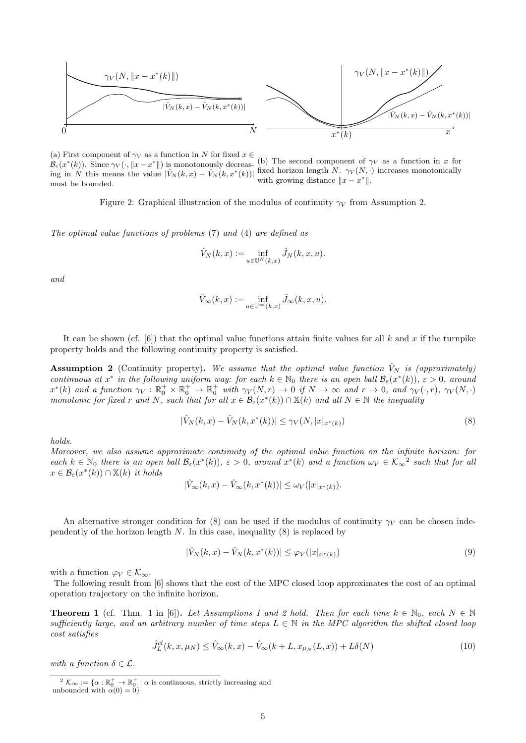$$
\gamma_V(N, \|x - x^*(k)\|)
$$
\n
$$
\gamma_V(N, \|x - x^*(k)\|)
$$
\n
$$
\gamma_V(N, \|x - x^*(k)\|)
$$
\n
$$
\gamma_V(N, \|x - x^*(k)\|)
$$
\n
$$
\gamma_V(N, \|x - x^*(k)\|)
$$
\n
$$
\gamma_V(N, \|x - x^*(k)\|)
$$
\n
$$
\gamma_V(N, \|x - x^*(k)\|)
$$

(a) First component of  $\gamma_V$  as a function in N for fixed  $x \in$  $B_{\varepsilon}(x^*(k))$ . Since  $\gamma_V(\cdot, \|x - x^*\|)$  is monotonously decreas-<br>(b) The second component of  $\gamma_V$  as a function in x for  $B_{\varepsilon}(x^*(k))$ . ing in N this means the value  $|\hat{V}_N(k,x) - \hat{V}_N(k,x^*(k))|$  fixed horizon length N.  $\gamma_V(N, \cdot)$  increases monotonically must be bounded. with growing distance  $||x - x^*||$ .

Figure 2: Graphical illustration of the modulus of continuity  $\gamma_V$  from Assumption [2.](#page-4-0)

The optimal value functions of problems [\(7\)](#page-2-1) and [\(4\)](#page-1-3) are defined as

$$
\hat{V}_N(k, x) := \inf_{u \in \mathbb{U}^N(k, x)} \hat{J}_N(k, x, u).
$$

and

$$
\hat{V}_{\infty}(k,x) := \inf_{u \in \mathbb{U}^{\infty}(k,x)} \hat{J}_{\infty}(k,x,u).
$$

It can be shown (cf.  $[6]$ ) that the optimal value functions attain finite values for all k and x if the turnpike property holds and the following continuity property is satisfied.

**Assumption 2** (Continuity property). We assume that the optimal value function  $\hat{V}_N$  is (approximately) continuous at  $x^*$  in the following uniform way: for each  $k \in \mathbb{N}_0$  there is an open ball  $\mathcal{B}_{\varepsilon}(x^*(k))$ ,  $\varepsilon > 0$ , around  $x^*(k)$  and a function  $\gamma_V : \mathbb{R}_0^+ \times \mathbb{R}_0^+ \to \mathbb{R}_0^+$  with  $\gamma_V(N,r) \to 0$  if  $N \to \infty$  and  $r \to 0$ , and  $\gamma_V(\cdot,r)$ ,  $\gamma_V(N,\cdot)$ monotonic for fixed r and N, such that for all  $x \in \mathcal{B}_{\varepsilon}(x^*(k)) \cap X(k)$  and all  $N \in \mathbb{N}$  the inequality

<span id="page-4-0"></span>
$$
|\hat{V}_N(k,x) - \hat{V}_N(k,x^*(k))| \leq \gamma_V(N,|x|_{x^*(k)})
$$
\n(8)

holds.

Moreover, we also assume approximate continuity of the optimal value function on the infinite horizon: for each  $k \in \mathbb{N}_0$  there is an open ball  $\mathcal{B}_{\varepsilon}(x^*(k))$ ,  $\varepsilon > 0$ , around  $x^*(k)$  and a function  $\omega_V \in \mathcal{K}_{\infty}^2$  $\omega_V \in \mathcal{K}_{\infty}^2$  such that for all  $x \in \mathcal{B}_{\varepsilon}(x^*(k)) \cap X(k)$  it holds

$$
|\hat{V}_{\infty}(k,x) - \hat{V}_{\infty}(k,x^*(k))| \leq \omega_V(|x|_{x^*(k)}).
$$

An alternative stronger condition for [\(8\)](#page-4-0) can be used if the modulus of continuity  $\gamma_V$  can be chosen independently of the horizon length  $N$ . In this case, inequality  $(8)$  is replaced by

<span id="page-4-4"></span>
$$
|\hat{V}_N(k,x) - \hat{V}_N(k,x^*(k))| \le \varphi_V(|x|_{x^*(k)})
$$
\n(9)

with a function  $\varphi_V \in \mathcal{K}_{\infty}$ .

The following result from [\[6\]](#page-9-3) shows that the cost of the MPC closed loop approximates the cost of an optimal operation trajectory on the infinite horizon.

<span id="page-4-3"></span>**Theorem [1](#page-3-3)** (cf. Thm. 1 in [\[6\]](#page-9-3)). Let Assumptions 1 and [2](#page-4-0) hold. Then for each time  $k \in \mathbb{N}_0$ , each  $N \in \mathbb{N}$ sufficiently large, and an arbitrary number of time steps  $L \in \mathbb{N}$  in the MPC algorithm the shifted closed loop cost satisfies

<span id="page-4-2"></span>
$$
\hat{J}_L^{cl}(k, x, \mu_N) \leq \hat{V}_{\infty}(k, x) - \hat{V}_{\infty}(k + L, x_{\mu_N}(L, x)) + L\delta(N)
$$
\n(10)

with a function  $\delta \in \mathcal{L}$ .

<span id="page-4-1"></span> $2 \mathcal{K}_{\infty} := \{ \alpha : \mathbb{R}_0^+ \to \mathbb{R}_0^+ \mid \alpha \text{ is continuous, strictly increasing and} \}$ unbounded with  $\alpha(0) = 0$ }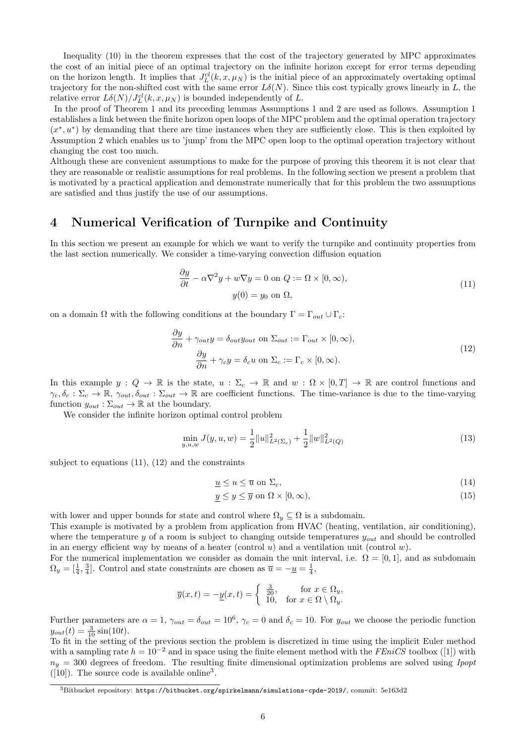Inequality [\(10\)](#page-4-2) in the theorem expresses that the cost of the trajectory generated by MPC approximates the cost of an initial piece of an optimal trajectory on the infinite horizon except for error terms depending on the horizon length. It implies that  $J_L^{cl}(k, x, \mu_N)$  is the initial piece of an approximately overtaking optimal trajectory for the non-shifted cost with the same error  $L\delta(N)$ . Since this cost typically grows linearly in L, the relative error  $L\delta(N)/J_L^{cl}(k,x,\mu_N)$  is bounded independently of L.

In the proof of Theorem [1](#page-4-3) and its preceding lemmas Assumptions [1](#page-3-3) and [2](#page-4-0) are used as follows. Assumption [1](#page-3-3) establishes a link between the finite horizon open loops of the MPC problem and the optimal operation trajectory  $(x^*, u^*)$  by demanding that there are time instances when they are sufficiently close. This is then exploited by Assumption [2](#page-4-0) which enables us to 'jump' from the MPC open loop to the optimal operation trajectory without changing the cost too much.

Although these are convenient assumptions to make for the purpose of proving this theorem it is not clear that they are reasonable or realistic assumptions for real problems. In the following section we present a problem that is motivated by a practical application and demonstrate numerically that for this problem the two assumptions are satisfied and thus justify the use of our assumptions.

# <span id="page-5-0"></span>4 Numerical Verification of Turnpike and Continuity

In this section we present an example for which we want to verify the turnpike and continuity properties from the last section numerically. We consider a time-varying convection diffusion equation

<span id="page-5-2"></span><span id="page-5-1"></span>
$$
\frac{\partial y}{\partial t} - \alpha \nabla^2 y + w \nabla y = 0 \text{ on } Q := \Omega \times [0, \infty),
$$
  

$$
y(0) = y_0 \text{ on } \Omega,
$$
 (11)

on a domain  $\Omega$  with the following conditions at the boundary  $\Gamma = \Gamma_{out} \cup \Gamma_c$ :

$$
\frac{\partial y}{\partial n} + \gamma_{out} y = \delta_{out} y_{out} \text{ on } \Sigma_{out} := \Gamma_{out} \times [0, \infty),
$$
  

$$
\frac{\partial y}{\partial n} + \gamma_c y = \delta_c u \text{ on } \Sigma_c := \Gamma_c \times [0, \infty).
$$
 (12)

In this example  $y: Q \to \mathbb{R}$  is the state,  $u: \Sigma_c \to \mathbb{R}$  and  $w: \Omega \times [0,T] \to \mathbb{R}$  are control functions and  $\gamma_c, \delta_c : \Sigma_c \to \mathbb{R}, \gamma_{out}, \delta_{out} : \Sigma_{out} \to \mathbb{R}$  are coefficient functions. The time-variance is due to the time-varying function  $y_{out} : \Sigma_{out} \to \mathbb{R}$  at the boundary.

We consider the infinite horizon optimal control problem

$$
\min_{y,u,w} J(y,u,w) = \frac{1}{2} ||u||_{L^2(\Sigma_c)}^2 + \frac{1}{2} ||w||_{L^2(Q)}^2
$$
\n(13)

subject to equations [\(11\)](#page-5-1), [\(12\)](#page-5-2) and the constraints

$$
\underline{u} \le u \le \overline{u} \text{ on } \Sigma_c,\tag{14}
$$

$$
\underline{y} \le y \le \overline{y} \text{ on } \Omega \times [0, \infty), \tag{15}
$$

with lower and upper bounds for state and control where  $\Omega_y \subseteq \Omega$  is a subdomain.

This example is motivated by a problem from application from HVAC (heating, ventilation, air conditioning), where the temperature y of a room is subject to changing outside temperatures  $y_{out}$  and should be controlled in an energy efficient way by means of a heater (control  $u$ ) and a ventilation unit (control  $w$ ).

For the numerical implementation we consider as domain the unit interval, i.e.  $\Omega = [0, 1]$ , and as subdomain  $\Omega_y = \left[\frac{1}{4}, \frac{3}{4}\right]$ . Control and state constraints are chosen as  $\overline{u} = -\underline{u} = \frac{1}{4}$ ,

$$
\overline{y}(x,t) = -\underline{y}(x,t) = \begin{cases} \frac{3}{20}, & \text{for } x \in \Omega_y, \\ 10, & \text{for } x \in \Omega \setminus \Omega_y. \end{cases}
$$

Further parameters are  $\alpha = 1$ ,  $\gamma_{out} = \delta_{out} = 10^6$ ,  $\gamma_c = 0$  and  $\delta_c = 10$ . For  $y_{out}$  we choose the periodic function  $y_{out}(t) = \frac{3}{10} \sin(10t).$ 

To fit in the setting of the previous section the problem is discretized in time using the implicit Euler method witha sampling rate  $h = 10^{-2}$  and in space using the finite element method with the FEniCS toolbox ([\[1\]](#page-8-4)) with  $n_y = 300$  degrees of freedom. The resulting finite dimensional optimization problems are solved using Ipopt  $([10])$  $([10])$  $([10])$ . The source code is available online<sup>[3](#page-5-3)</sup>.

<span id="page-5-3"></span> $3B$ itbucket repository: <https://bitbucket.org/spirkelmann/simulations-cpde-2019/>, commit:  $5e163d2$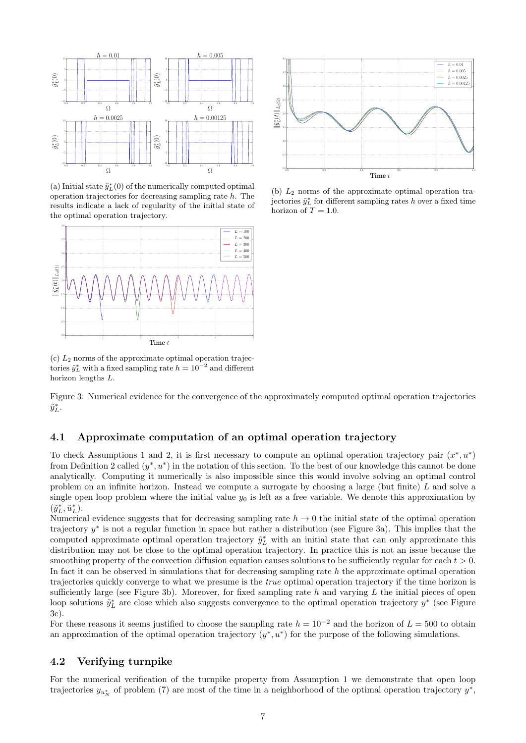<span id="page-6-2"></span>

(a) Initial state  $\tilde{y}_L^*(0)$  of the numerically computed optimal operation trajectories for decreasing sampling rate h. The results indicate a lack of regularity of the initial state of the optimal operation trajectory.



 $(c)$   $L_2$  norms of the approximate optimal operation trajectories  $\tilde{y}_L^*$  with a fixed sampling rate  $h = 10^{-2}$  and different horizon lengths L.

Figure 3: Numerical evidence for the convergence of the approximately computed optimal operation trajectories  $\tilde{y}^*_L$  .

#### <span id="page-6-0"></span>4.1 Approximate computation of an optimal operation trajectory

To check Assumptions [1](#page-3-3) and [2,](#page-4-0) it is first necessary to compute an optimal operation trajectory pair  $(x^*, u^*)$ from Definition [2](#page-1-2) called  $(y^*, u^*)$  in the notation of this section. To the best of our knowledge this cannot be done analytically. Computing it numerically is also impossible since this would involve solving an optimal control problem on an infinite horizon. Instead we compute a surrogate by choosing a large (but finite) L and solve a single open loop problem where the initial value  $y_0$  is left as a free variable. We denote this approximation by  $(\tilde{y}_L^*, \tilde{u}_L^*).$ 

Numerical evidence suggests that for decreasing sampling rate  $h \to 0$  the initial state of the optimal operation trajectory y<sup>∗</sup> is not a regular function in space but rather a distribution (see Figure [3a\)](#page-6-2). This implies that the computed approximate optimal operation trajectory  $\tilde{y}_L^*$  with an initial state that can only approximate this distribution may not be close to the optimal operation trajectory. In practice this is not an issue because the smoothing property of the convection diffusion equation causes solutions to be sufficiently regular for each  $t > 0$ . In fact it can be observed in simulations that for decreasing sampling rate h the approximate optimal operation trajectories quickly converge to what we presume is the true optimal operation trajectory if the time horizon is sufficiently large (see Figure [3b\)](#page-6-2). Moreover, for fixed sampling rate  $h$  and varying  $L$  the initial pieces of open loop solutions  $\tilde{y}_L^*$  are close which also suggests convergence to the optimal operation trajectory  $y^*$  (see Figure [3c\)](#page-6-2).

For these reasons it seems justified to choose the sampling rate  $h = 10^{-2}$  and the horizon of  $L = 500$  to obtain an approximation of the optimal operation trajectory  $(y^*, u^*)$  for the purpose of the following simulations.

#### <span id="page-6-1"></span>4.2 Verifying turnpike

For the numerical verification of the turnpike property from Assumption [1](#page-3-3) we demonstrate that open loop trajectories  $y_{u_N^*}$  of problem [\(7\)](#page-2-1) are most of the time in a neighborhood of the optimal operation trajectory  $y^*$ ,



(b)  $L_2$  norms of the approximate optimal operation trajectories  $\tilde{y}_L^*$  for different sampling rates h over a fixed time horizon of  $T = 1.0$ .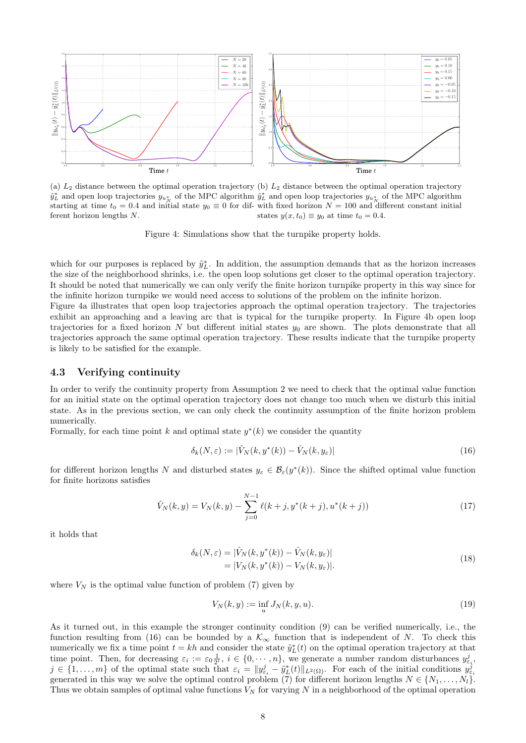<span id="page-7-1"></span>

(a)  $L_2$  distance between the optimal operation trajectory (b)  $L_2$  distance between the optimal operation trajectory  $\tilde{y}_L^*$  and open loop trajectories  $y_{u_N^*}$  of the MPC algorithm  $\tilde{y}_L^*$  and open loop trajectories  $y_{u_N^*}$  of the MPC algorithm starting at time  $t_0 = 0.4$  and initial state  $y_0 \equiv 0$  for dif-with fixed horizon  $N = 100$  and different constant initial ferent horizon lengths N. states  $y(x, t_0) \equiv y_0$  at time  $t_0 = 0.4$ .

Figure 4: Simulations show that the turnpike property holds.

which for our purposes is replaced by  $\tilde{y}_L^*$ . In addition, the assumption demands that as the horizon increases the size of the neighborhood shrinks, i.e. the open loop solutions get closer to the optimal operation trajectory. It should be noted that numerically we can only verify the finite horizon turnpike property in this way since for the infinite horizon turnpike we would need access to solutions of the problem on the infinite horizon.

Figure [4a](#page-7-1) illustrates that open loop trajectories approach the optimal operation trajectory. The trajectories exhibit an approaching and a leaving arc that is typical for the turnpike property. In Figure [4b](#page-7-1) open loop trajectories for a fixed horizon  $N$  but different initial states  $y_0$  are shown. The plots demonstrate that all trajectories approach the same optimal operation trajectory. These results indicate that the turnpike property is likely to be satisfied for the example.

#### <span id="page-7-0"></span>4.3 Verifying continuity

In order to verify the continuity property from Assumption [2](#page-4-0) we need to check that the optimal value function for an initial state on the optimal operation trajectory does not change too much when we disturb this initial state. As in the previous section, we can only check the continuity assumption of the finite horizon problem numerically.

Formally, for each time point k and optimal state  $y^*(k)$  we consider the quantity

<span id="page-7-2"></span>
$$
\delta_k(N,\varepsilon) := |\hat{V}_N(k, y^*(k)) - \hat{V}_N(k, y_\varepsilon)| \tag{16}
$$

for different horizon lengths N and disturbed states  $y_{\varepsilon} \in \mathcal{B}_{\varepsilon}(y^*(k))$ . Since the shifted optimal value function for finite horizons satisfies

$$
\hat{V}_N(k,y) = V_N(k,y) - \sum_{j=0}^{N-1} \ell(k+j, y^*(k+j), u^*(k+j))
$$
\n(17)

it holds that

$$
\delta_k(N,\varepsilon) = |\hat{V}_N(k, y^*(k)) - \hat{V}_N(k, y_\varepsilon)| \n= |V_N(k, y^*(k)) - V_N(k, y_\varepsilon)|.
$$
\n(18)

where  $V_N$  is the optimal value function of problem [\(7\)](#page-2-1) given by

$$
V_N(k, y) := \inf_u J_N(k, y, u). \tag{19}
$$

As it turned out, in this example the stronger continuity condition [\(9\)](#page-4-4) can be verified numerically, i.e., the function resulting from [\(16\)](#page-7-2) can be bounded by a  $\mathcal{K}_{\infty}$  function that is independent of N. To check this numerically we fix a time point  $t = kh$  and consider the state  $\tilde{y}_L^*(t)$  on the optimal operation trajectory at that time point. Then, for decreasing  $\varepsilon_i := \varepsilon_0 \frac{1}{2^i}$ ,  $i \in \{0, \dots, n\}$ , we generate a number random disturbances  $y_{\varepsilon_i}^j$ .  $j \in \{1,\ldots,m\}$  of the optimal state such that  $\varepsilon_i = ||y_{\varepsilon_i}^j - \tilde{y}_L^*(t)||_{L^2(\Omega)}$ . For each of the initial conditions  $y_{\varepsilon_i}^j$ generated in this way we solve the optimal control problem [\(7\)](#page-2-1) for different horizon lengths  $N \in \{N_1, \ldots, N_l\}$ . Thus we obtain samples of optimal value functions  $V_N$  for varying N in a neighborhood of the optimal operation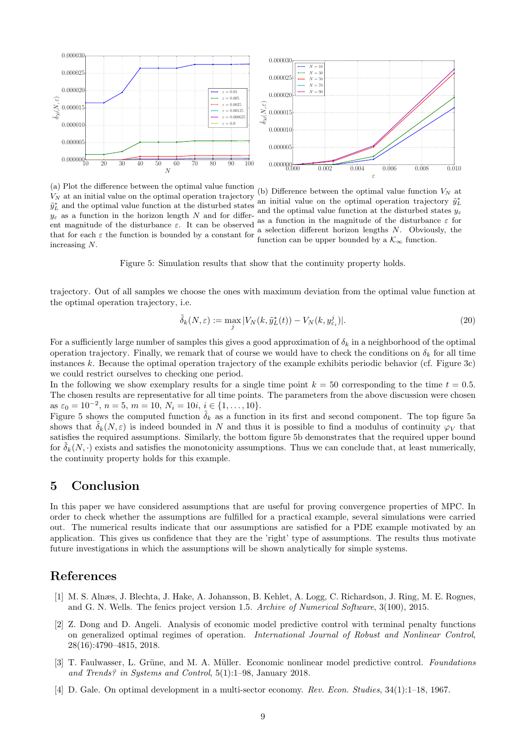<span id="page-8-5"></span>

(a) Plot the difference between the optimal value function  $V_N$  at an initial value on the optimal operation trajectory  $\tilde{y}_L^*$  and the optimal value function at the disturbed states  $y_{\varepsilon}$  as a function in the horizon length N and for different magnitude of the disturbance  $\varepsilon$ . It can be observed that for each  $\varepsilon$  the function is bounded by a constant for increasing N.

(b) Difference between the optimal value function  $V_N$  at an initial value on the optimal operation trajectory  $\tilde{y}_L^*$ and the optimal value function at the disturbed states  $y<sub>e</sub>$ as a function in the magnitude of the disturbance  $\varepsilon$  for a selection different horizon lengths N. Obviously, the function can be upper bounded by a  $\mathcal{K}_{\infty}$  function.

Figure 5: Simulation results that show that the continuity property holds.

trajectory. Out of all samples we choose the ones with maximum deviation from the optimal value function at the optimal operation trajectory, i.e.

$$
\tilde{\delta}_k(N,\varepsilon) := \max_j |V_N(k,\tilde{y}_L^*(t)) - V_N(k,y_{\varepsilon_i}^j)|. \tag{20}
$$

For a sufficiently large number of samples this gives a good approximation of  $\delta_k$  in a neighborhood of the optimal operation trajectory. Finally, we remark that of course we would have to check the conditions on  $\delta_k$  for all time instances k. Because the optimal operation trajectory of the example exhibits periodic behavior (cf. Figure [3c\)](#page-6-2) we could restrict ourselves to checking one period.

In the following we show exemplary results for a single time point  $k = 50$  corresponding to the time  $t = 0.5$ . The chosen results are representative for all time points. The parameters from the above discussion were chosen as  $\varepsilon_0 = 10^{-2}$ ,  $n = 5$ ,  $m = 10$ ,  $N_i = 10i$ ,  $i \in \{1, ..., 10\}$ .

Figure [5](#page-8-5) shows the computed function  $\delta_k$  as a function in its first and second component. The top figure [5a](#page-8-5) shows that  $\tilde{\delta}_k(N,\varepsilon)$  is indeed bounded in N and thus it is possible to find a modulus of continuity  $\varphi_V$  that satisfies the required assumptions. Similarly, the bottom figure [5b](#page-8-5) demonstrates that the required upper bound for  $\delta_k(N, \cdot)$  exists and satisfies the monotonicity assumptions. Thus we can conclude that, at least numerically, the continuity property holds for this example.

### <span id="page-8-0"></span>5 Conclusion

In this paper we have considered assumptions that are useful for proving convergence properties of MPC. In order to check whether the assumptions are fulfilled for a practical example, several simulations were carried out. The numerical results indicate that our assumptions are satisfied for a PDE example motivated by an application. This gives us confidence that they are the 'right' type of assumptions. The results thus motivate future investigations in which the assumptions will be shown analytically for simple systems.

#### References

- <span id="page-8-4"></span>[1] M. S. Alnæs, J. Blechta, J. Hake, A. Johansson, B. Kehlet, A. Logg, C. Richardson, J. Ring, M. E. Rognes, and G. N. Wells. The fenics project version 1.5. Archive of Numerical Software, 3(100), 2015.
- <span id="page-8-1"></span>[2] Z. Dong and D. Angeli. Analysis of economic model predictive control with terminal penalty functions on generalized optimal regimes of operation. International Journal of Robust and Nonlinear Control, 28(16):4790–4815, 2018.
- <span id="page-8-2"></span>[3] T. Faulwasser, L. Grüne, and M. A. Müller. Economic nonlinear model predictive control. Foundations and Trends? in Systems and Control, 5(1):1–98, January 2018.
- <span id="page-8-3"></span>[4] D. Gale. On optimal development in a multi-sector economy. Rev. Econ. Studies, 34(1):1–18, 1967.